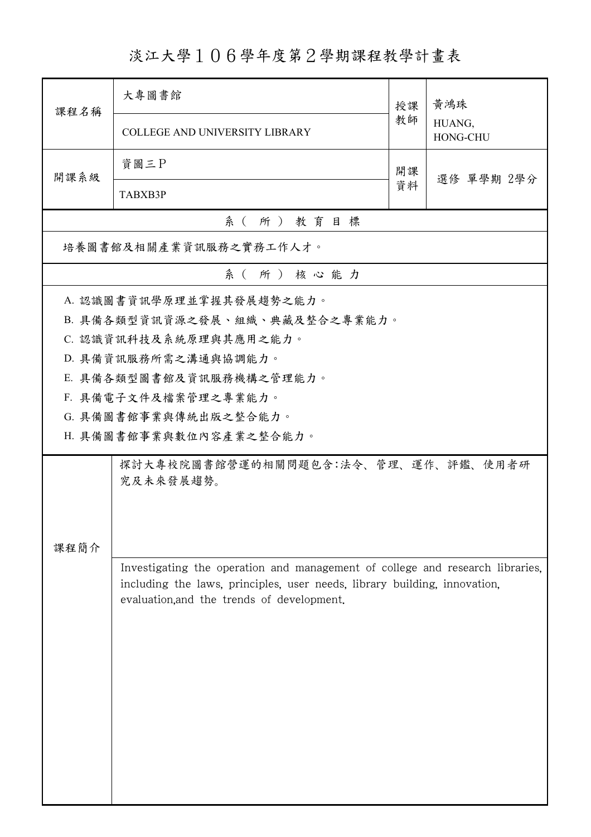淡江大學106學年度第2學期課程教學計畫表

| 課程名稱     | 大專圖書館                                                                                                                                                      | 授課 | 黃鴻珠                |  |  |  |  |
|----------|------------------------------------------------------------------------------------------------------------------------------------------------------------|----|--------------------|--|--|--|--|
|          | <b>COLLEGE AND UNIVERSITY LIBRARY</b>                                                                                                                      | 教師 | HUANG,<br>HONG-CHU |  |  |  |  |
| 開課系級     | 資圖三P                                                                                                                                                       | 開課 |                    |  |  |  |  |
|          | TABXB3P                                                                                                                                                    | 資料 | 選修 單學期 2學分         |  |  |  |  |
| 系(所)教育目標 |                                                                                                                                                            |    |                    |  |  |  |  |
|          | 培養圖書館及相關產業資訊服務之實務工作人才。                                                                                                                                     |    |                    |  |  |  |  |
|          | 系(所)核心能力                                                                                                                                                   |    |                    |  |  |  |  |
|          | A. 認識圖書資訊學原理並掌握其發展趨勢之能力。                                                                                                                                   |    |                    |  |  |  |  |
|          | B. 具備各類型資訊資源之發展、組織、典藏及整合之專業能力。                                                                                                                             |    |                    |  |  |  |  |
|          | C. 認識資訊科技及系統原理與其應用之能力。                                                                                                                                     |    |                    |  |  |  |  |
|          | D. 具備資訊服務所需之溝通與協調能力。                                                                                                                                       |    |                    |  |  |  |  |
|          | E. 具備各類型圖書館及資訊服務機構之管理能力。                                                                                                                                   |    |                    |  |  |  |  |
|          | F. 具備電子文件及檔案管理之專業能力。                                                                                                                                       |    |                    |  |  |  |  |
|          | G. 具備圖書館事業與傳統出版之整合能力。                                                                                                                                      |    |                    |  |  |  |  |
|          | H. 具備圖書館事業與數位內容產業之整合能力。                                                                                                                                    |    |                    |  |  |  |  |
|          | 探討大專校院圖書館營運的相關問題包含:法令、管理、運作、評鑑、使用者研                                                                                                                        |    |                    |  |  |  |  |
|          | 究及未來發展趨勢。                                                                                                                                                  |    |                    |  |  |  |  |
|          |                                                                                                                                                            |    |                    |  |  |  |  |
|          |                                                                                                                                                            |    |                    |  |  |  |  |
| 課程簡介     |                                                                                                                                                            |    |                    |  |  |  |  |
|          | Investigating the operation and management of college and research libraries,<br>including the laws, principles, user needs, library building, innovation, |    |                    |  |  |  |  |
|          | evaluation, and the trends of development.                                                                                                                 |    |                    |  |  |  |  |
|          |                                                                                                                                                            |    |                    |  |  |  |  |
|          |                                                                                                                                                            |    |                    |  |  |  |  |
|          |                                                                                                                                                            |    |                    |  |  |  |  |
|          |                                                                                                                                                            |    |                    |  |  |  |  |
|          |                                                                                                                                                            |    |                    |  |  |  |  |
|          |                                                                                                                                                            |    |                    |  |  |  |  |
|          |                                                                                                                                                            |    |                    |  |  |  |  |
|          |                                                                                                                                                            |    |                    |  |  |  |  |
|          |                                                                                                                                                            |    |                    |  |  |  |  |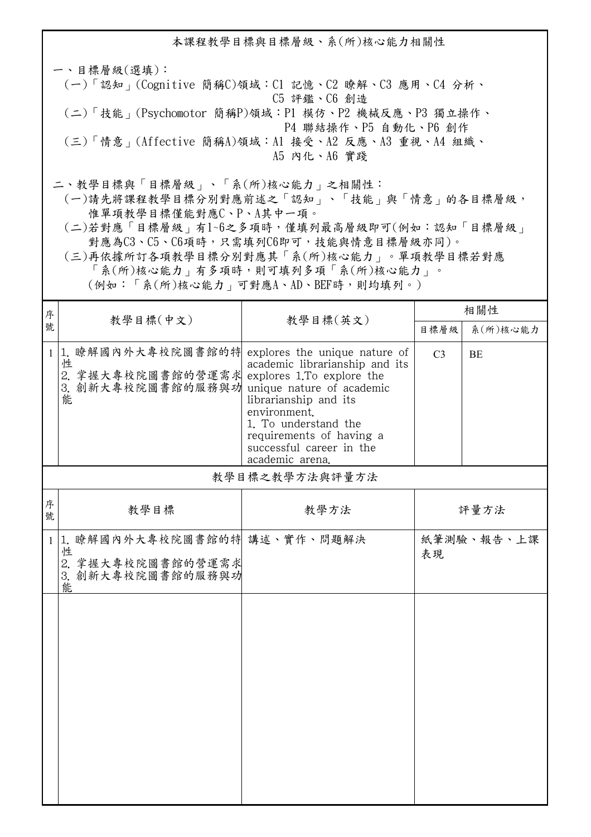本課程教學目標與目標層級、系(所)核心能力相關性 一、目標層級(選填): (一)「認知」(Cognitive 簡稱C)領域:C1 記憶、C2 瞭解、C3 應用、C4 分析、 C5 評鑑、C6 創造 (二)「技能」(Psychomotor 簡稱P)領域:P1 模仿、P2 機械反應、P3 獨立操作、 P4 聯結操作、P5 自動化、P6 創作 (三)「情意」(Affective 簡稱A)領域:A1 接受、A2 反應、A3 重視、A4 組織、 A5 內化、A6 實踐 二、教學目標與「目標層級」、「系(所)核心能力」之相關性:

 (一)請先將課程教學目標分別對應前述之「認知」、「技能」與「情意」的各目標層級, 惟單項教學目標僅能對應C、P、A其中一項。

 (二)若對應「目標層級」有1~6之多項時,僅填列最高層級即可(例如:認知「目標層級」 對應為C3、C5、C6項時,只需填列C6即可,技能與情意目標層級亦同)。

 (三)再依據所訂各項教學目標分別對應其「系(所)核心能力」。單項教學目標若對應 「系(所)核心能力」有多項時,則可填列多項「系(所)核心能力」。

(例如:「系(所)核心能力」可對應A、AD、BEF時,則均填列。)

| 序            | 教學目標(中文)                                                                         | 教學目標(英文)                                                                                                                                                                                                                                                              | 相關性            |            |
|--------------|----------------------------------------------------------------------------------|-----------------------------------------------------------------------------------------------------------------------------------------------------------------------------------------------------------------------------------------------------------------------|----------------|------------|
| 號            |                                                                                  |                                                                                                                                                                                                                                                                       | 目標層級           | 系(所)核心能力   |
| $\mathbf{1}$ | 1. 瞭解國內外大專校院圖書館的特<br>性<br>2. 掌握大專校院圖書館的營運需求<br>3. 創新大專校院圖書館的服務與功<br>能            | explores the unique nature of<br>academic librarianship and its<br>explores 1.To explore the<br>unique nature of academic<br>librarianship and its<br>environment.<br>1. To understand the<br>requirements of having a<br>successful career in the<br>academic arena. | C <sub>3</sub> | <b>BE</b>  |
|              |                                                                                  | 教學目標之教學方法與評量方法                                                                                                                                                                                                                                                        |                |            |
| 序<br>號       | 教學目標                                                                             | 教學方法                                                                                                                                                                                                                                                                  |                | 評量方法       |
| $\mathbf{1}$ | 1. 瞭解國內外大專校院圖書館的特 講述、實作、問題解決<br>性<br>2. 掌握大專校院圖書館的營運需求<br>3. 創新大專校院圖書館的服務與功<br>能 |                                                                                                                                                                                                                                                                       | 表現             | 紙筆測驗、報告、上課 |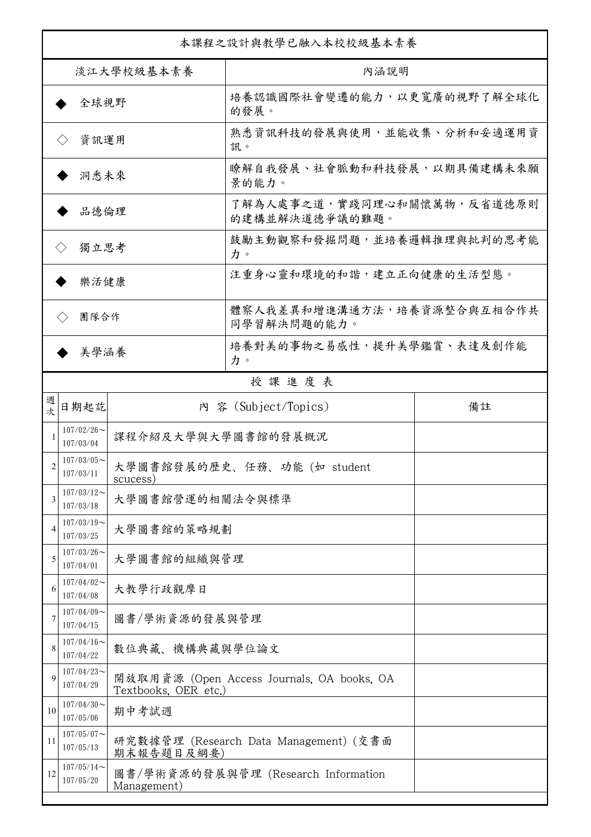| 本課程之設計與教學已融入本校校級基本素養        |                                                                                  |                                                                    |                                              |    |  |
|-----------------------------|----------------------------------------------------------------------------------|--------------------------------------------------------------------|----------------------------------------------|----|--|
| 淡江大學校級基本素養                  |                                                                                  |                                                                    | 內涵說明                                         |    |  |
| 全球視野                        |                                                                                  |                                                                    | 培養認識國際社會變遷的能力,以更寬廣的視野了解全球化<br>的發展。           |    |  |
| 資訊運用<br>$\langle \ \rangle$ |                                                                                  |                                                                    | 熟悉資訊科技的發展與使用,並能收集、分析和妥適運用資<br>訊。             |    |  |
| 洞悉未來                        |                                                                                  |                                                                    | 瞭解自我發展、社會脈動和科技發展,以期具備建構未來願<br>景的能力。          |    |  |
| 品德倫理                        |                                                                                  |                                                                    | 了解為人處事之道,實踐同理心和關懷萬物,反省道德原則<br>的建構並解決道德爭議的難題。 |    |  |
| 獨立思考<br>$\langle \rangle$   |                                                                                  |                                                                    | 鼓勵主動觀察和發掘問題,並培養邏輯推理與批判的思考能<br>力。             |    |  |
| 樂活健康                        |                                                                                  |                                                                    | 注重身心靈和環境的和諧,建立正向健康的生活型態。                     |    |  |
| 團隊合作<br>$\langle \ \rangle$ |                                                                                  |                                                                    | 體察人我差異和增進溝通方法,培養資源整合與互相合作共<br>同學習解決問題的能力。    |    |  |
| 美學涵養                        |                                                                                  |                                                                    | 培養對美的事物之易感性,提升美學鑑賞、表達及創作能<br>力。              |    |  |
|                             |                                                                                  |                                                                    | 授課進度表                                        |    |  |
| 週<br>欤                      | 日期起訖                                                                             |                                                                    | 內 容 (Subject/Topics)                         | 備註 |  |
|                             | $107/02/26$ ~<br>107/03/04                                                       | 課程介紹及大學與大學圖書館的發展概況                                                 |                                              |    |  |
| $\overline{c}$              | $107/03/05$ ~<br>107/03/11                                                       | scucess)                                                           | 大學圖書館發展的歷史、任務、功能 (如 student                  |    |  |
| 3                           | $107/03/12$ ~<br>大學圖書館營運的相關法令與標準<br>107/03/18                                    |                                                                    |                                              |    |  |
| 4                           | $107/03/19$ ~<br>107/03/25                                                       | 大學圖書館的策略規劃                                                         |                                              |    |  |
| 5                           | $107/03/26$ ~<br>107/04/01                                                       | 大學圖書館的組織與管理                                                        |                                              |    |  |
| 6                           | $107/04/02$ ~<br>107/04/08                                                       | 大教學行政觀摩日                                                           |                                              |    |  |
| 7                           | $107/04/09$ ~<br>107/04/15                                                       | 圖書/學術資源的發展與管理                                                      |                                              |    |  |
| 8                           | $107/04/16 \sim$<br>107/04/22                                                    | 數位典藏、機構典藏與學位論文                                                     |                                              |    |  |
| 9                           | $107/04/23$ ~<br>107/04/29                                                       | 開放取用資源 (Open Access Journals, OA books, OA<br>Textbooks, OER etc.) |                                              |    |  |
| 10                          | $107/04/30$ ~<br>107/05/06                                                       | 期中考試週                                                              |                                              |    |  |
| 11                          | $107/05/07$ ~<br>107/05/13                                                       | 研究數據管理 (Research Data Management) (交書面<br>期末報告題目及綱要)               |                                              |    |  |
| 12                          | $107/05/14$ ~<br>圖書/學術資源的發展與管理 (Research Information<br>107/05/20<br>Management) |                                                                    |                                              |    |  |